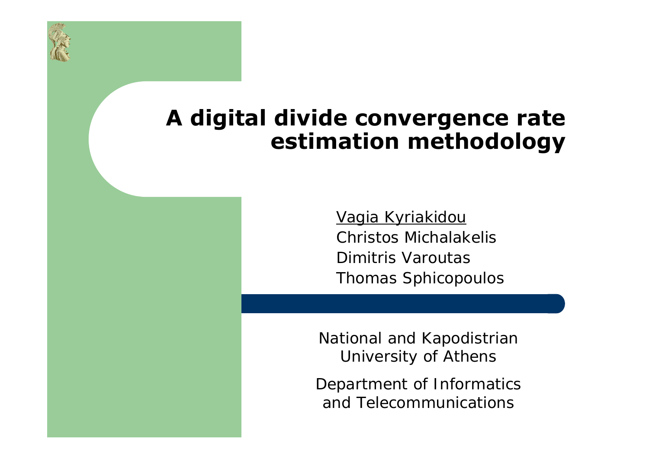# **A digital divide convergence rate estimation methodology**

Vagia Kyriakidou Christos MichalakelisDimitris VaroutasThomas Sphicopoulos

National and Kapodistrian University of Athens

Department of Informatics and Telecommunications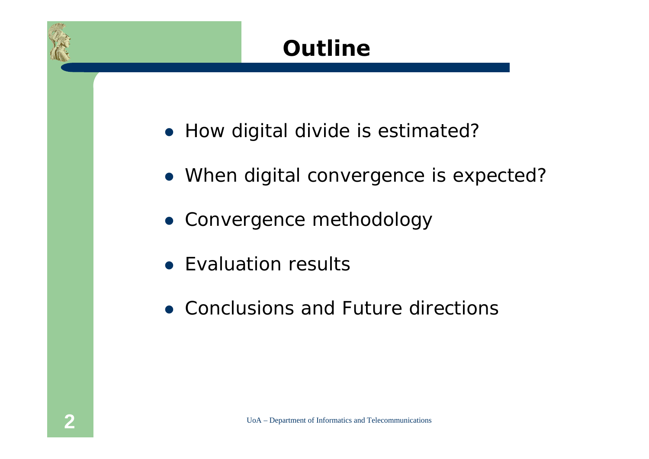# **Outline**

- How digital divide is estimated?
- When digital convergence is expected?
- Convergence methodology
- Evaluation results
- Conclusions and Future directions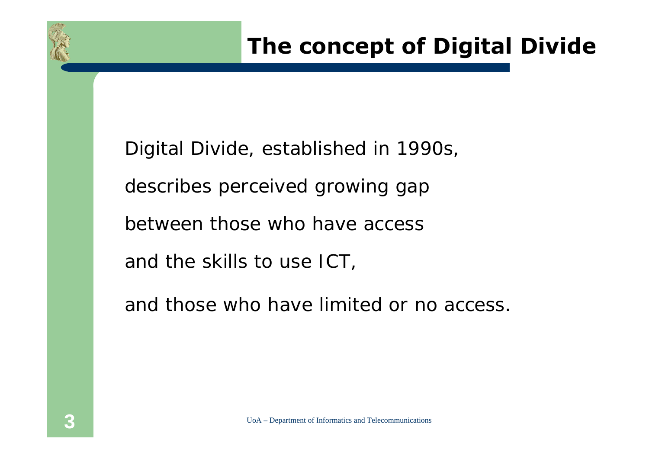### **The concept of Digital Divide**

Digital Divide, established in 1990s, describes perceived growing gap between those who have access and the skills to use ICT,

and those who have limited or no access.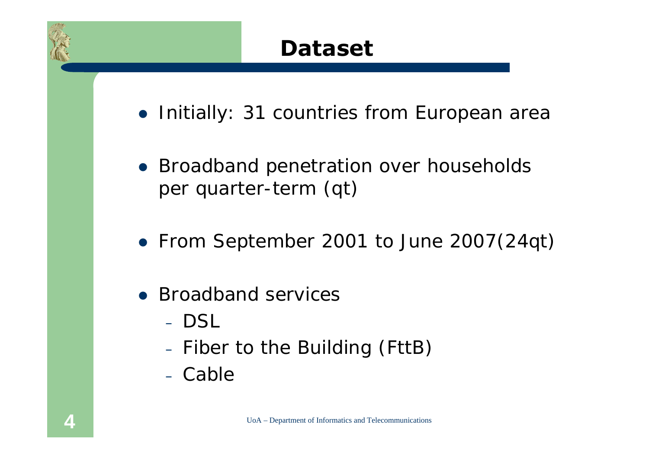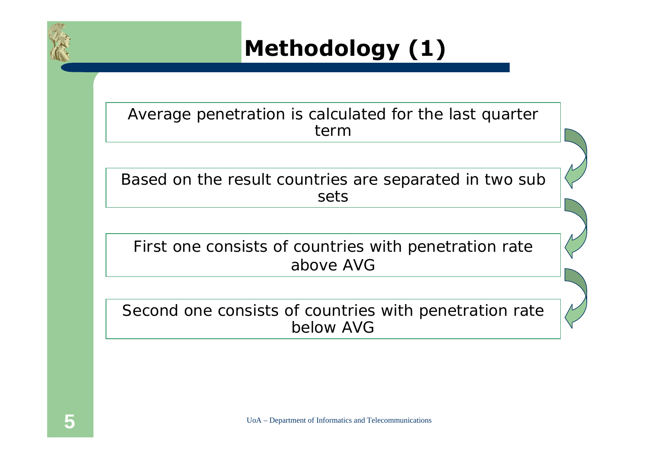

**Methodology (1)**

Average penetration is calculated for the last quarter term

Based on the result countries are separated in two sub sets

First one consists of countries with penetration rate above AVG

Second one consists of countries with penetration rate below AVG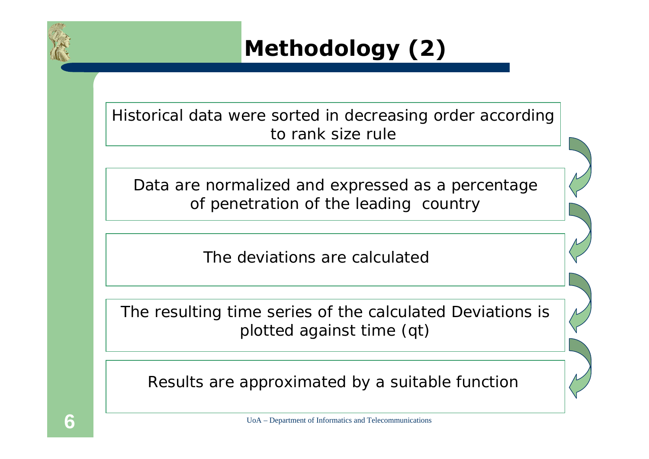

**Methodology (2)**

Historical data were sorted in decreasing order according to rank size rule

Data are normalized and expressed as a percentage of penetration of the leading country

The deviations are calculated

The resulting time series of the calculated Deviations is plotted against time (qt)

Results are approximated by a suitable function

UoA – Department of Informatics and Telecommunications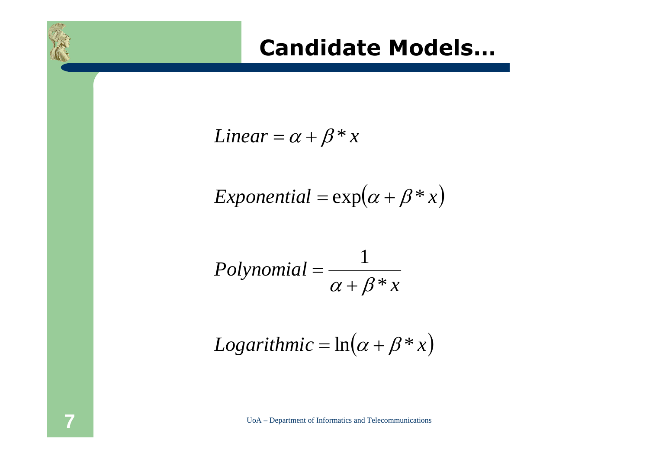#### **Candidate Models…**

$$
Linear = \alpha + \beta * x
$$

$$
Exponential = \exp(\alpha + \beta * x)
$$

$$
Polynomial = \frac{1}{\alpha + \beta * x}
$$

$$
Logarithmic = \ln(\alpha + \beta * x)
$$

UoA – Department of Informatics and Telecommunications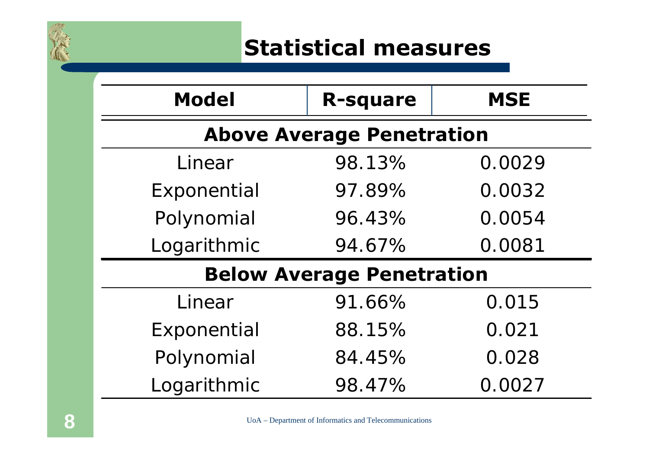

## **Statistical measures**

| <b>Model</b>                     | <b>R-square</b> | <b>MSE</b> |  |  |  |  |
|----------------------------------|-----------------|------------|--|--|--|--|
| <b>Above Average Penetration</b> |                 |            |  |  |  |  |
| Linear                           | 98.13%          | 0.0029     |  |  |  |  |
| Exponential                      | 97.89%          | 0.0032     |  |  |  |  |
| Polynomial                       | 96.43%          | 0.0054     |  |  |  |  |
| Logarithmic                      | 94.67%          | 0.0081     |  |  |  |  |
| <b>Below Average Penetration</b> |                 |            |  |  |  |  |
| Linear                           | 91.66%          | 0.015      |  |  |  |  |
| Exponential                      | 88.15%          | 0.021      |  |  |  |  |
| Polynomial                       | 84.45%          | 0.028      |  |  |  |  |
| Logarithmic                      | 98.47%          | 0.0027     |  |  |  |  |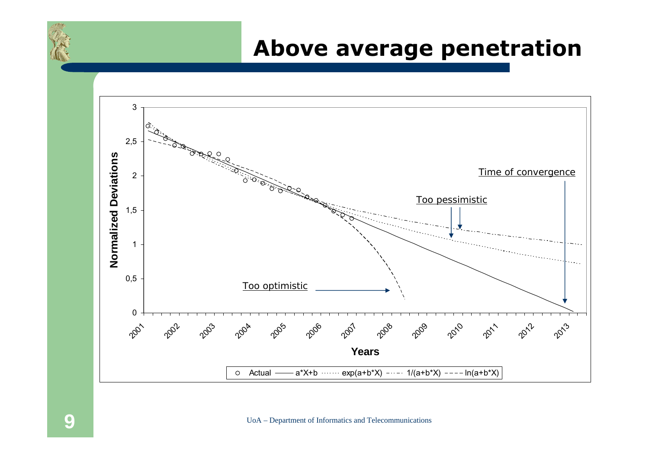#### **Above average penetration**



UoA – Department of Informatics and Telecommunications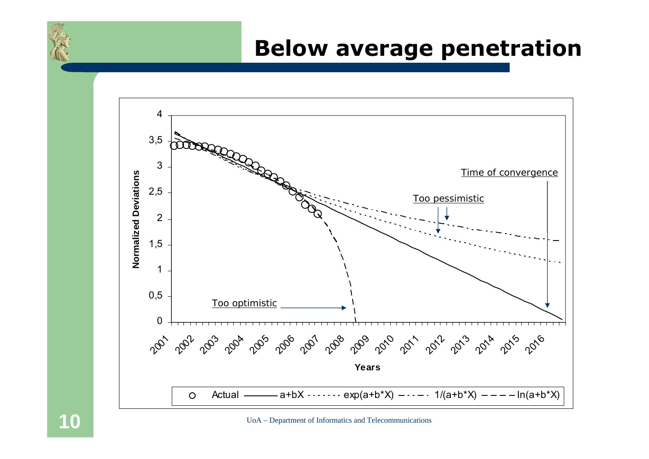#### **Below average penetration**



UoA – Department of Informatics and Telecommunications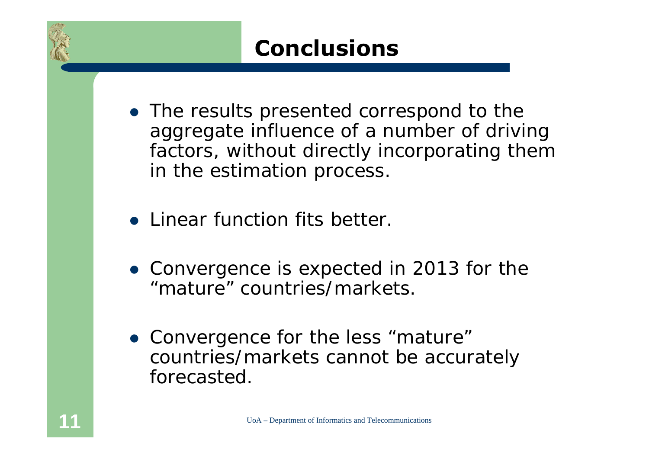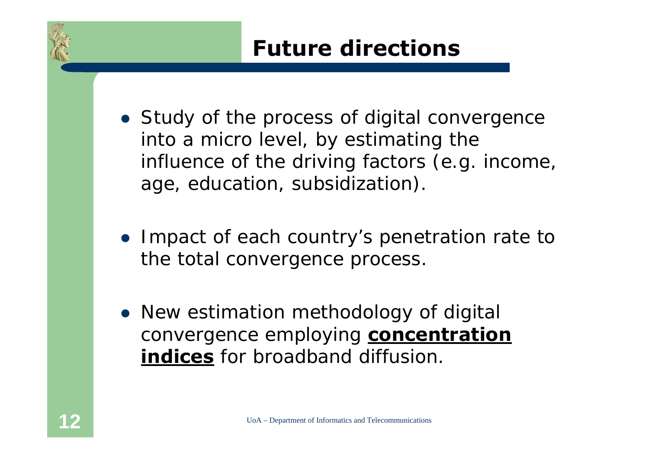## **Future directions**

- Study of the process of digital convergence into a micro level, by estimating the influence of the driving factors (e.g. income, age, education, subsidization).
- Impact of each country's penetration rate to the total convergence process.
- New estimation methodology of digital convergence employing **concentration indices** for broadband diffusion.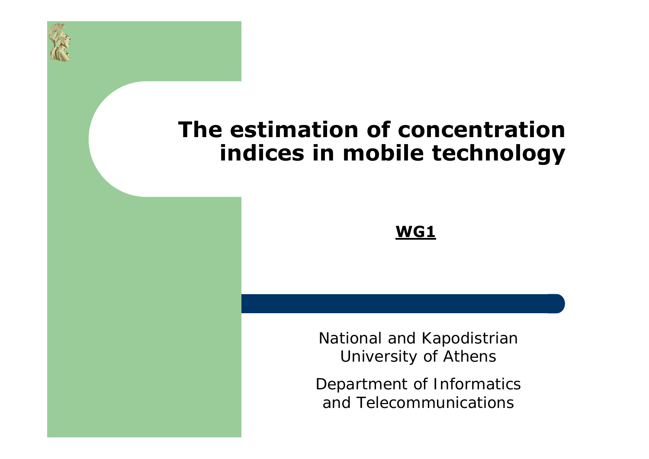

#### **The estimation of concentration indices in mobile technology**

#### **WG1**

National and Kapodistrian University of Athens

Department of Informatics and Telecommunications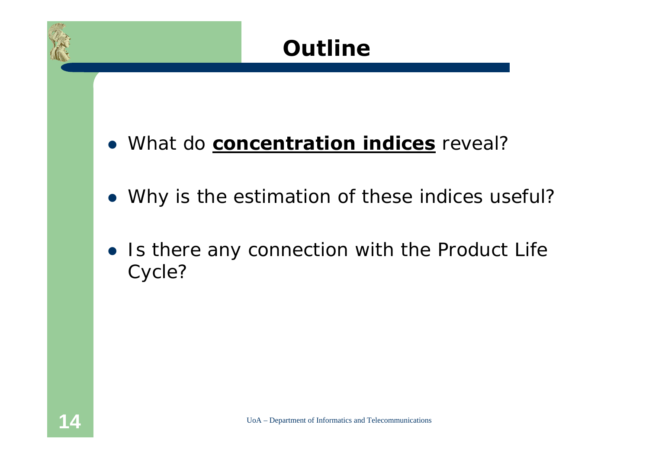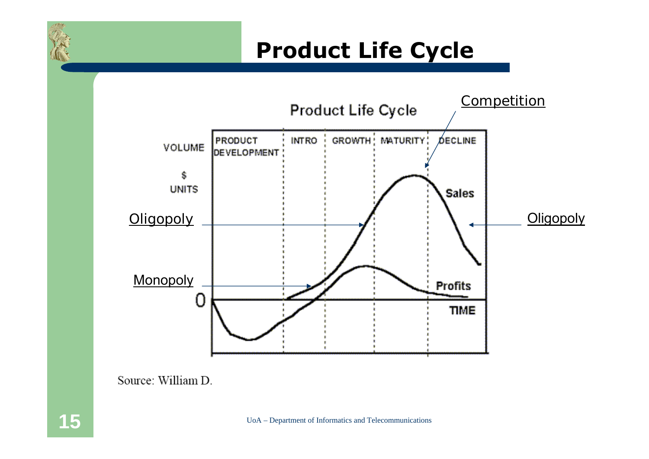# **Product Life Cycle**



Source: William D.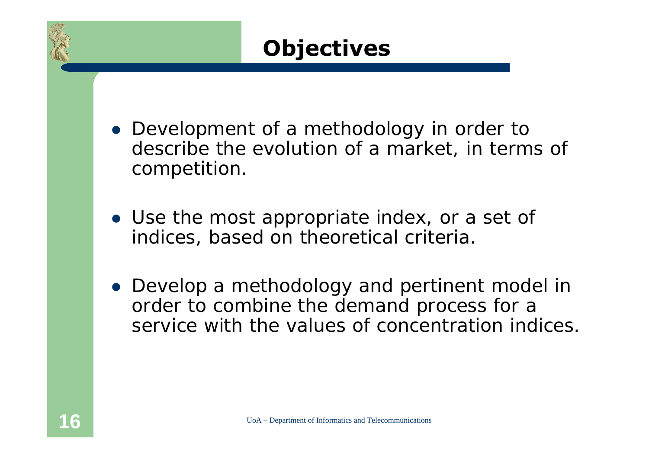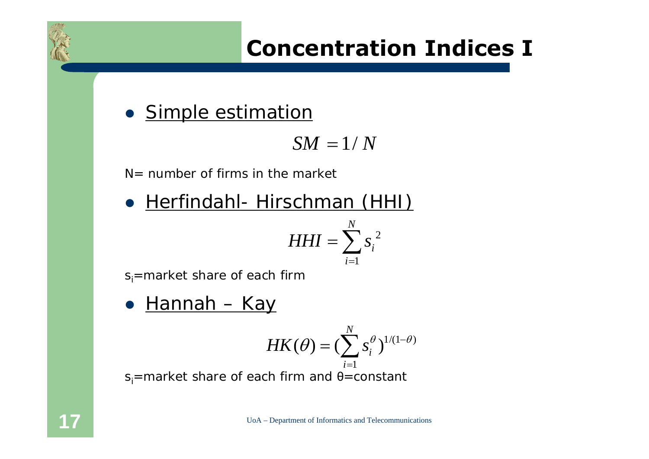# **Concentration Indices I**

• Simple estimation

$$
SM=1/N
$$

 $N=$  number of firms in the market

**• Herfindahl- Hirschman (HHI)** 2 1*N*  $HHI = \sum s_i$ *i*= $=\sum$ 

 $s_i$ =market share of each firm

 $\bullet$ Hannah – Kay

$$
HK(\theta) = (\sum_{i=1}^N s_i^{\theta})^{1/(1-\theta)}
$$

 $s_i$ =market share of each firm and  $\theta$ =constant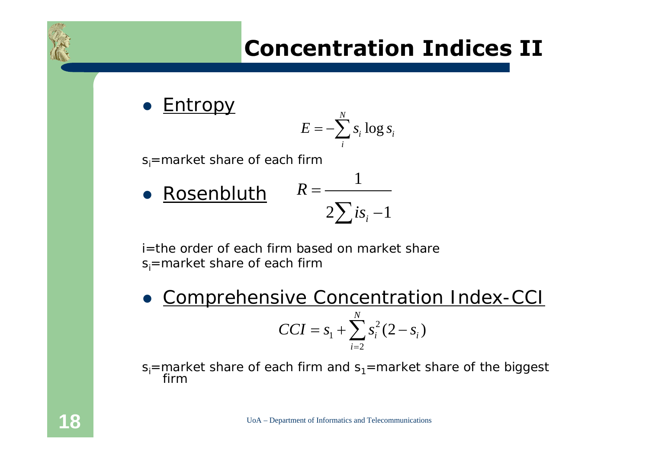

• Entropy  $s_i$ =market share of each firm  $\bullet$  Rosenbluth log *N*  $\sum_{i}^{b_i}$ <sup>10</sup> $\sum_{i}^{b_i}$  $E = -\sum s_i \log s$ 1  $2\sum i s_i -1$ *R is* =  $\sum i s_i -$ 

i=the order of each firm based on market share $s_i$ =market share of each firm

 $\bullet$  Comprehensive Concentration Index-CCI  $s_1 + \sum_{i=2} s_i^2$  $(2 - s_i)$ *N*  $\sum_{i=2}^{3}$  <sup>3</sup><sub>*i*</sub> (2 <sup>3</sup><sub>*i*</sub>  $CCI = S_1 + \sum_{i} S_i^2 (2 - s_i)$ == $= s_1 + \sum_{i} s_i^2 (2 -$ 

 $s_i$ =market share of each firm and  $s_i$ =market share of the biggest firm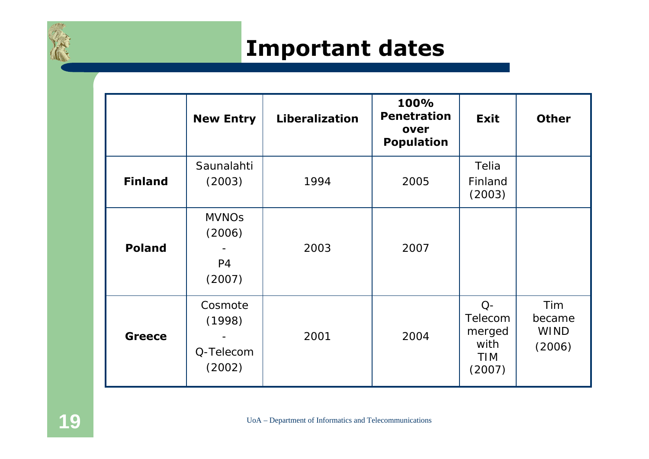

#### **Important dates**

|                | <b>New Entry</b>                                   | Liberalization | 100%<br><b>Penetration</b><br>over<br><b>Population</b> | <b>Exit</b>                                               | <b>Other</b>                           |
|----------------|----------------------------------------------------|----------------|---------------------------------------------------------|-----------------------------------------------------------|----------------------------------------|
| <b>Finland</b> | Saunalahti<br>(2003)                               | 1994           | 2005                                                    | Telia<br>Finland<br>(2003)                                |                                        |
| <b>Poland</b>  | <b>MVNOs</b><br>(2006)<br>P <sub>4</sub><br>(2007) | 2003           | 2007                                                    |                                                           |                                        |
| <b>Greece</b>  | Cosmote<br>(1998)<br>Q-Telecom<br>(2002)           | 2001           | 2004                                                    | $Q-$<br>Telecom<br>merged<br>with<br><b>TIM</b><br>(2007) | Tim<br>became<br><b>WIND</b><br>(2006) |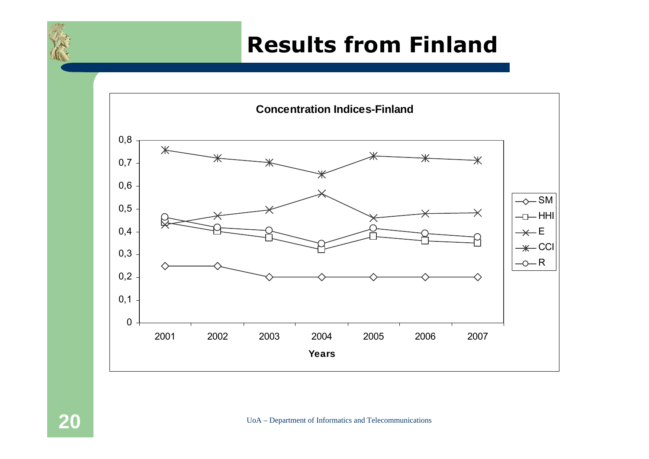### **Results from Finland**

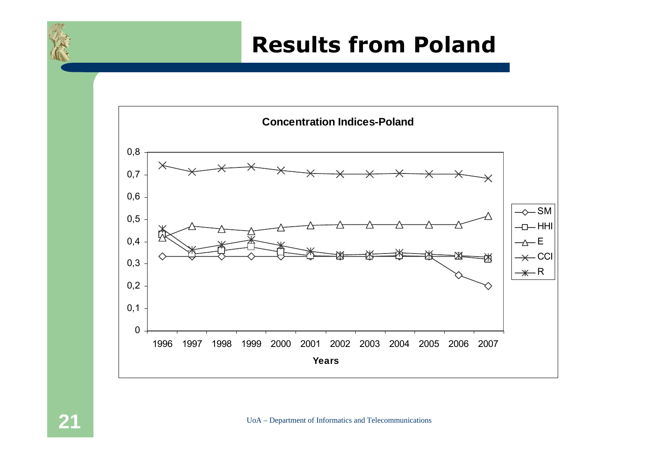#### **Results from Poland**

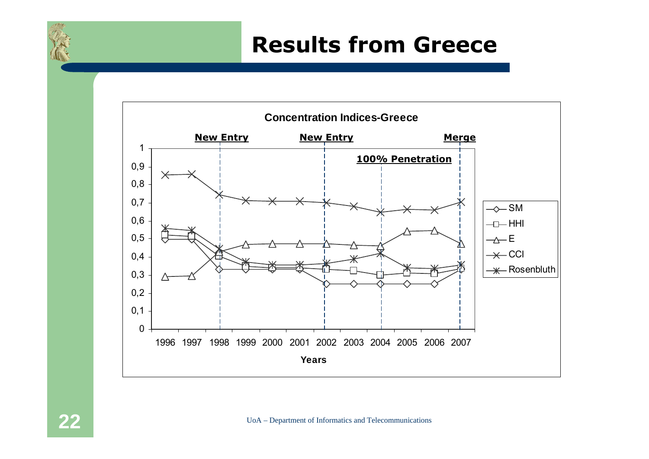#### **Results from Greece**

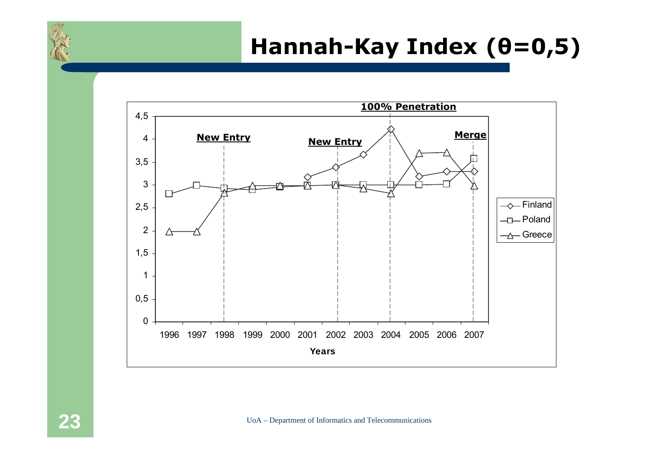# **Hannah-Kay Index (θ=0,5)**

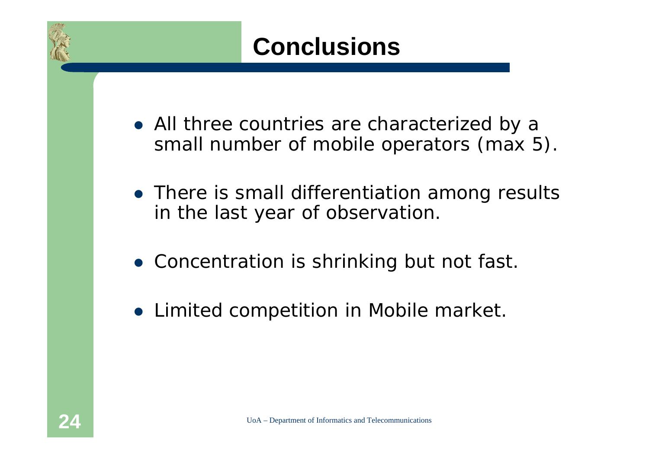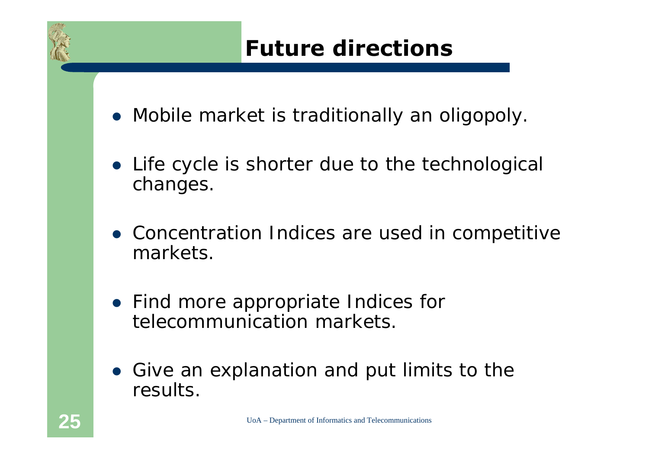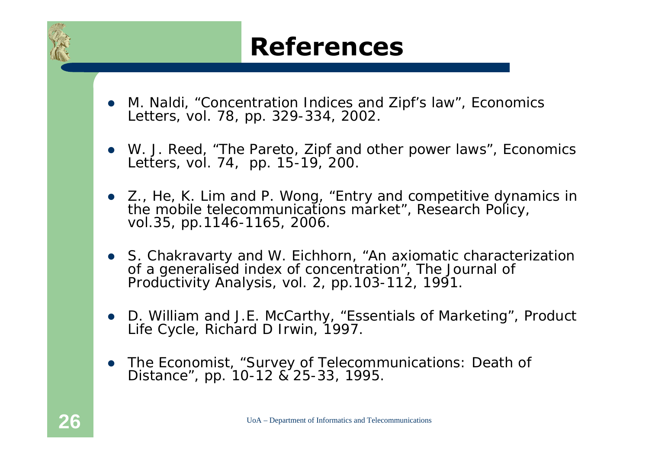# **References**

- O M. Naldi, "Concentration Indices and Zipf's law", *Economics Letters, vol. 78, pp. 329-334, 2002.*
- W. J. Reed, "The Pareto, Zipf and other power laws", *Economics Letters*, vol. 74, pp. 15-19, 200.
- Z., He, K. Lim and P. Wong, "Entry and competitive dynamics in the mobile telecommunications market", *Research Policy*, vol.35, pp.1146-1165, 2006.
- S. Chakravarty and W. Eichhorn, "An axiomatic characterization of a generalised index of concentration", *The Journal of Productivity Analysis*, vol. 2, pp.103-112, 1991.
- **•** D. William and J.E. McCarthy, "Essentials of Marketing", *Product Life Cycle*, Richard D Irwin, 1997.
- *The Economist,* "Survey of Telecommunications: Death of Distance", pp. 10-12 & 25-33, 1995.